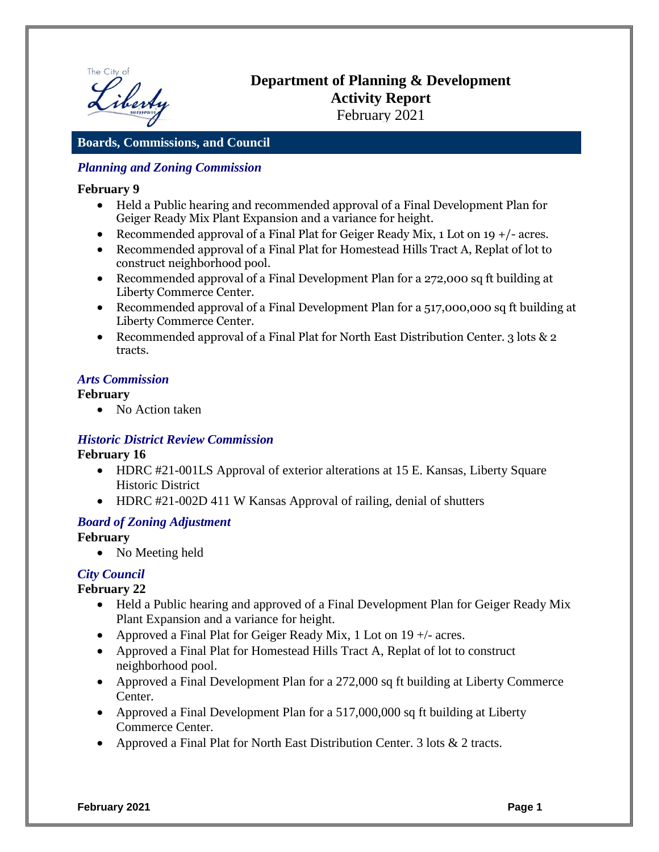

# **Department of Planning & Development Activity Report** February 2021

## **Boards, Commissions, and Council**

## *Planning and Zoning Commission*

#### **February 9**

- Held a Public hearing and recommended approval of a Final Development Plan for Geiger Ready Mix Plant Expansion and a variance for height.
- Recommended approval of a Final Plat for Geiger Ready Mix,  $1$  Lot on  $19 + / -$  acres.
- Recommended approval of a Final Plat for Homestead Hills Tract A, Replat of lot to construct neighborhood pool.
- Recommended approval of a Final Development Plan for a 272,000 sq ft building at Liberty Commerce Center.
- Recommended approval of a Final Development Plan for a 517,000,000 sq ft building at Liberty Commerce Center.
- Recommended approval of a Final Plat for North East Distribution Center. 3 lots & 2 tracts.

#### *Arts Commission*

#### **February**

• No Action taken

#### *Historic District Review Commission*

#### **February 16**

- HDRC #21-001LS Approval of exterior alterations at 15 E. Kansas, Liberty Square Historic District
- HDRC #21-002D 411 W Kansas Approval of railing, denial of shutters

#### *Board of Zoning Adjustment*

#### **February**

• No Meeting held

## *City Council*

#### **February 22**

- Held a Public hearing and approved of a Final Development Plan for Geiger Ready Mix Plant Expansion and a variance for height.
- Approved a Final Plat for Geiger Ready Mix, 1 Lot on  $19 +$  acres.
- Approved a Final Plat for Homestead Hills Tract A, Replat of lot to construct neighborhood pool.
- Approved a Final Development Plan for a 272,000 sq ft building at Liberty Commerce Center.
- Approved a Final Development Plan for a 517,000,000 sq ft building at Liberty Commerce Center.
- Approved a Final Plat for North East Distribution Center. 3 lots & 2 tracts.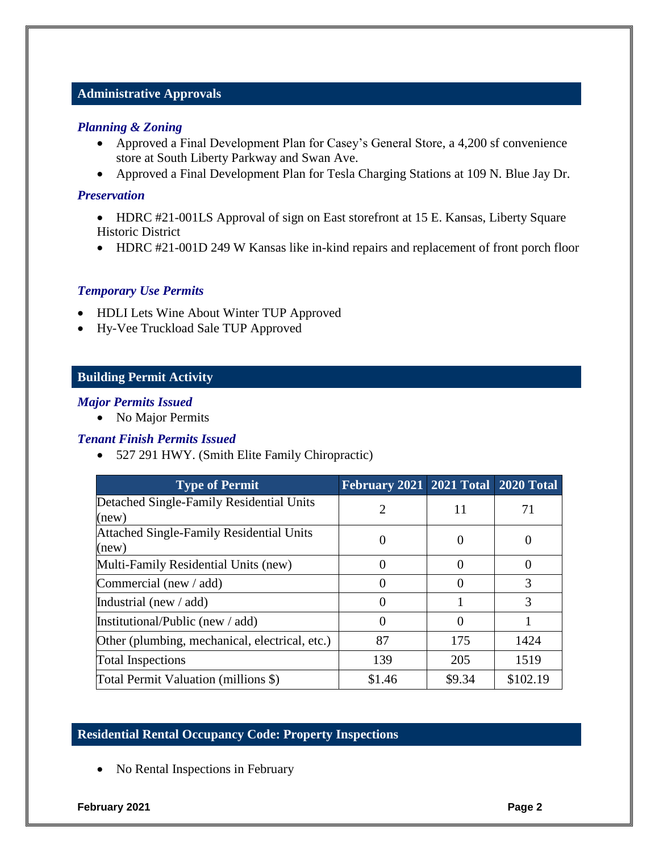#### **Administrative Approvals**

#### *Planning & Zoning*

- Approved a Final Development Plan for Casey's General Store, a 4,200 sf convenience store at South Liberty Parkway and Swan Ave.
- Approved a Final Development Plan for Tesla Charging Stations at 109 N. Blue Jay Dr.

#### *Preservation*

- HDRC #21-001LS Approval of sign on East storefront at 15 E. Kansas, Liberty Square Historic District
- HDRC #21-001D 249 W Kansas like in-kind repairs and replacement of front porch floor

#### *Temporary Use Permits*

- HDLI Lets Wine About Winter TUP Approved
- Hy-Vee Truckload Sale TUP Approved

## **Building Permit Activity**

#### *Major Permits Issued*

• No Major Permits

#### *Tenant Finish Permits Issued*

527 291 HWY. (Smith Elite Family Chiropractic)

| <b>Type of Permit</b>                             | February 2021 2021 Total 2020 Total |              |          |
|---------------------------------------------------|-------------------------------------|--------------|----------|
| Detached Single-Family Residential Units<br>(new) |                                     | 11           | 71       |
| Attached Single-Family Residential Units<br>(new) | U                                   | $\theta$     |          |
| Multi-Family Residential Units (new)              |                                     | $\Omega$     |          |
| Commercial (new $/$ add)                          |                                     | $\mathbf{0}$ | 3        |
| Industrial (new $/$ add)                          |                                     |              | 3        |
| Institutional/Public (new / add)                  | 0                                   | $\theta$     |          |
| Other (plumbing, mechanical, electrical, etc.)    | 87                                  | 175          | 1424     |
| <b>Total Inspections</b>                          | 139                                 | 205          | 1519     |
| Total Permit Valuation (millions \$)              | \$1.46                              | \$9.34       | \$102.19 |

#### **Residential Rental Occupancy Code: Property Inspections**

• No Rental Inspections in February